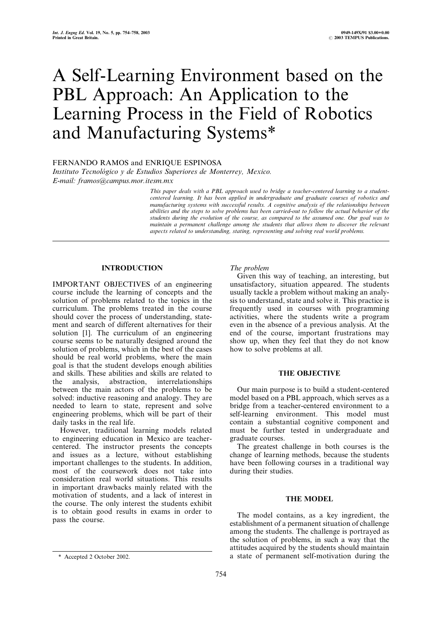# A Self-Learning Environment based on the PBL Approach: An Application to the Learning Process in the Field of Robotics and Manufacturing Systems\*

FERNANDO RAMOS and ENRIQUE ESPINOSA

Instituto Tecnológico y de Estudios Superiores de Monterrey, Mexico. E-mail: framos@campus.mor.itesm.mx

> This paper deals with a PBL approach used to bridge a teacher-centered learning to a studentcentered learning. It has been applied in undergraduate and graduate courses of robotics and manufacturing systems with successful results. A cognitive analysis of the relationships between abilities and the steps to solve problems has been carried-out to follow the actual behavior of the students during the evolution of the course, as compared to the assumed one. Our goal was to maintain a permanent challenge among the students that allows them to discover the relevant aspects related to understanding, stating, representing and solving real world problems.

# INTRODUCTION

IMPORTANT OBJECTIVES of an engineering course include the learning of concepts and the solution of problems related to the topics in the curriculum. The problems treated in the course should cover the process of understanding, statement and search of different alternatives for their solution [1]. The curriculum of an engineering course seems to be naturally designed around the solution of problems, which in the best of the cases should be real world problems, where the main goal is that the student develops enough abilities and skills. These abilities and skills are related to the analysis, abstraction, interrelationships between the main actors of the problems to be solved: inductive reasoning and analogy. They are needed to learn to state, represent and solve engineering problems, which will be part of their daily tasks in the real life.

However, traditional learning models related to engineering education in Mexico are teachercentered. The instructor presents the concepts and issues as a lecture, without establishing important challenges to the students. In addition, most of the coursework does not take into consideration real world situations. This results in important drawbacks mainly related with the motivation of students, and a lack of interest in the course. The only interest the students exhibit is to obtain good results in exams in order to pass the course.

# The problem

Given this way of teaching, an interesting, but unsatisfactory, situation appeared. The students usually tackle a problem without making an analysis to understand, state and solve it. This practice is frequently used in courses with programming activities, where the students write a program even in the absence of a previous analysis. At the end of the course, important frustrations may show up, when they feel that they do not know how to solve problems at all.

# THE OBJECTIVE

Our main purpose is to build a student-centered model based on a PBL approach, which serves as a bridge from a teacher-centered environment to a self-learning environment. This model must contain a substantial cognitive component and must be further tested in undergraduate and graduate courses.

The greatest challenge in both courses is the change of learning methods, because the students have been following courses in a traditional way during their studies.

# THE MODEL

The model contains, as a key ingredient, the establishment of a permanent situation of challenge among the students. The challenge is portrayed as the solution of problems, in such a way that the attitudes acquired by the students should maintain \* Accepted 2 October 2002. a state of permanent self-motivation during the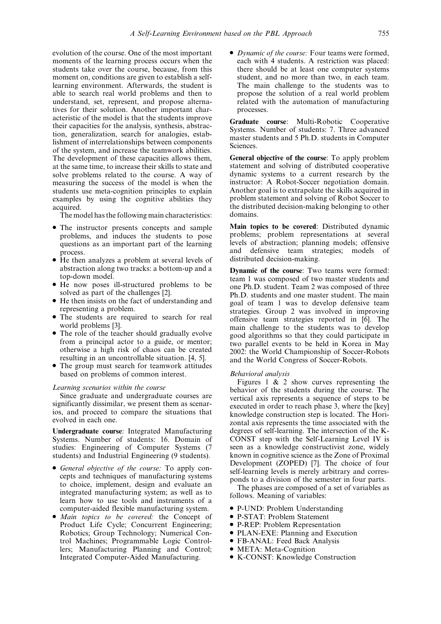evolution of the course. One of the most important moments of the learning process occurs when the students take over the course, because, from this moment on, conditions are given to establish a selflearning environment. Afterwards, the student is able to search real world problems and then to understand, set, represent, and propose alternatives for their solution. Another important characteristic of the model is that the students improve their capacities for the analysis, synthesis, abstraction, generalization, search for analogies, establishment of interrelationships between components of the system, and increase the teamwork abilities. The development of these capacities allows them, at the same time, to increase their skills to state and solve problems related to the course. A way of measuring the success of the model is when the students use meta-cognition principles to explain examples by using the cognitive abilities they acquired.

The model has the following main characteristics:

- . The instructor presents concepts and sample problems, and induces the students to pose questions as an important part of the learning process.
- . He then analyzes a problem at several levels of abstraction along two tracks: a bottom-up and a top-down model.
- . He now poses ill-structured problems to be solved as part of the challenges [2].
- . He then insists on the fact of understanding and representing a problem.
- . The students are required to search for real world problems [3].
- . The role of the teacher should gradually evolve from a principal actor to a guide, or mentor; otherwise a high risk of chaos can be created resulting in an uncontrollable situation. [4, 5].
- . The group must search for teamwork attitudes based on problems of common interest.

# Learning scenarios within the course

Since graduate and undergraduate courses are significantly dissimilar, we present them as scenarios, and proceed to compare the situations that evolved in each one.

Undergraduate course: Integrated Manufacturing Systems. Number of students: 16. Domain of studies: Engineering of Computer Systems (7 students) and Industrial Engineering (9 students).

- . General objective of the course: To apply concepts and techniques of manufacturing systems to choice, implement, design and evaluate an integrated manufacturing system; as well as to learn how to use tools and instruments of a computer-aided flexible manufacturing system.
- . Main topics to be covered: the Concept of Product Life Cycle; Concurrent Engineering; Robotics; Group Technology; Numerical Control Machines; Programmable Logic Controllers; Manufacturing Planning and Control; Integrated Computer-Aided Manufacturing.

• Dynamic of the course: Four teams were formed, each with 4 students. A restriction was placed: there should be at least one computer systems student, and no more than two, in each team. The main challenge to the students was to propose the solution of a real world problem related with the automation of manufacturing processes.

Graduate course: Multi-Robotic Cooperative Systems. Number of students: 7. Three advanced master students and 5 Ph.D. students in Computer Sciences.

General objective of the course: To apply problem statement and solving of distributed cooperative dynamic systems to a current research by the instructor: A Robot-Soccer negotiation domain. Another goal is to extrapolate the skills acquired in problem statement and solving of Robot Soccer to the distributed decision-making belonging to other domains.

Main topics to be covered: Distributed dynamic problems; problem representations at several levels of abstraction; planning models; offensive and defensive team strategies; models of distributed decision-making.

Dynamic of the course: Two teams were formed: team 1 was composed of two master students and one Ph.D. student. Team 2 was composed of three Ph.D. students and one master student. The main goal of team 1 was to develop defensive team strategies. Group 2 was involved in improving offensive team strategies reported in [6]. The main challenge to the students was to develop good algorithms so that they could participate in two parallel events to be held in Korea in May 2002: the World Championship of Soccer-Robots and the World Congress of Soccer-Robots.

#### Behavioral analysis

Figures 1 & 2 show curves representing the behavior of the students during the course. The vertical axis represents a sequence of steps to be executed in order to reach phase 3, where the [key] knowledge construction step is located. The Horizontal axis represents the time associated with the degrees of self-learning. The intersection of the K-CONST step with the Self-Learning Level IV is seen as a knowledge constructivist zone, widely known in cognitive science as the Zone of Proximal Development (ZOPED) [7]. The choice of four self-learning levels is merely arbitrary and corresponds to a division of the semester in four parts.

The phases are composed of a set of variables as follows. Meaning of variables:

- P-UND: Problem Understanding
- . P-STAT: Problem Statement
- . P-REP: Problem Representation
- . PLAN-EXE: Planning and Execution
- . FB-ANAL: Feed Back Analysis
- META: Meta-Cognition
- K-CONST: Knowledge Construction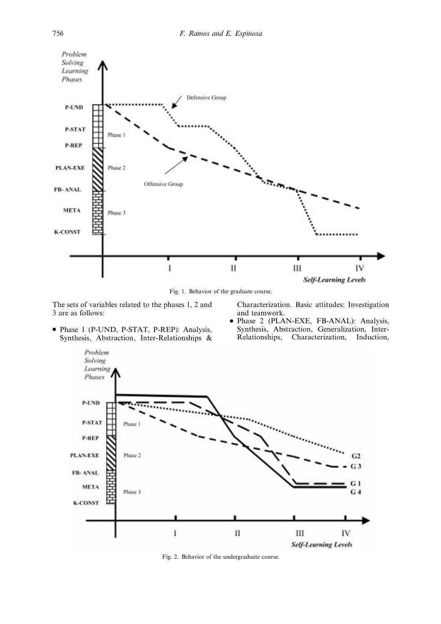

Fig. 1. Behavior of the graduate course.

The sets of variables related to the phases 1, 2 and 3 are as follows:

. Phase 1 (P-UND, P-STAT, P-REP): Analysis, Synthesis, Abstraction, Inter-Relationships & Characterization. Basic attitudes: Investigation and teamwork.

. Phase 2 (PLAN-EXE, FB-ANAL): Analysis, Synthesis, Abstraction, Generalization, Inter-Relationships, Characterization, Induction,



Fig. 2. Behavior of the undergraduate course.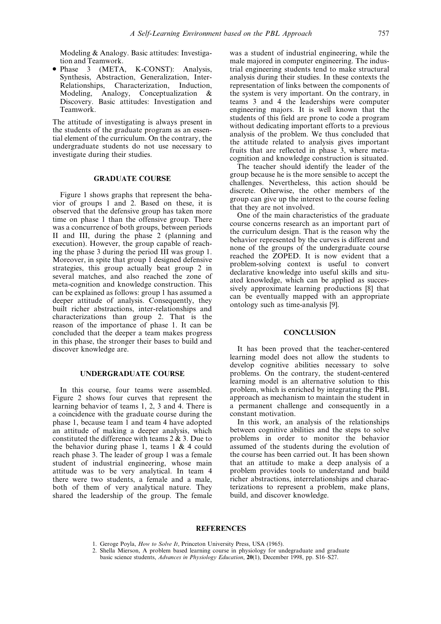Modeling & Analogy. Basic attitudes: Investigation and Teamwork.

. Phase 3 (META, K-CONST): Analysis, Synthesis, Abstraction, Generalization, Inter-Relationships, Characterization, Induction, Modeling, Analogy, Conceptualization & Discovery. Basic attitudes: Investigation and Teamwork.

The attitude of investigating is always present in the students of the graduate program as an essential element of the curriculum. On the contrary, the undergraduate students do not use necessary to investigate during their studies.

### GRADUATE COURSE

Figure 1 shows graphs that represent the behavior of groups 1 and 2. Based on these, it is observed that the defensive group has taken more time on phase 1 than the offensive group. There was a concurrence of both groups, between periods II and III, during the phase 2 (planning and execution). However, the group capable of reaching the phase 3 during the period III was group 1. Moreover, in spite that group 1 designed defensive strategies, this group actually beat group 2 in several matches, and also reached the zone of meta-cognition and knowledge construction. This can be explained as follows: group 1 has assumed a deeper attitude of analysis. Consequently, they built richer abstractions, inter-relationships and characterizations than group 2. That is the reason of the importance of phase 1. It can be concluded that the deeper a team makes progress in this phase, the stronger their bases to build and discover knowledge are.

## UNDERGRADUATE COURSE

In this course, four teams were assembled. Figure 2 shows four curves that represent the learning behavior of teams 1, 2, 3 and 4. There is a coincidence with the graduate course during the phase 1, because team 1 and team 4 have adopted an attitude of making a deeper analysis, which constituted the difference with teams 2 & 3. Due to the behavior during phase 1, teams  $1 \& 4$  could reach phase 3. The leader of group 1 was a female student of industrial engineering, whose main attitude was to be very analytical. In team 4 there were two students, a female and a male, both of them of very analytical nature. They shared the leadership of the group. The female was a student of industrial engineering, while the male majored in computer engineering. The industrial engineering students tend to make structural analysis during their studies. In these contexts the representation of links between the components of the system is very important. On the contrary, in teams 3 and 4 the leaderships were computer engineering majors. It is well known that the students of this field are prone to code a program without dedicating important efforts to a previous analysis of the problem. We thus concluded that the attitude related to analysis gives important fruits that are reflected in phase 3, where metacognition and knowledge construction is situated.

The teacher should identify the leader of the group because he is the more sensible to accept the challenges. Nevertheless, this action should be discrete. Otherwise, the other members of the group can give up the interest to the course feeling that they are not involved.

One of the main characteristics of the graduate course concerns research as an important part of the curriculum design. That is the reason why the behavior represented by the curves is different and none of the groups of the undergraduate course reached the ZOPED. It is now evident that a problem-solving context is useful to convert declarative knowledge into useful skills and situated knowledge, which can be applied as successively approximate learning productions [8] that can be eventually mapped with an appropriate ontology such as time-analysis [9].

#### **CONCLUSION**

It has been proved that the teacher-centered learning model does not allow the students to develop cognitive abilities necessary to solve problems. On the contrary, the student-centered learning model is an alternative solution to this problem, which is enriched by integrating the PBL approach as mechanism to maintain the student in a permanent challenge and consequently in a constant motivation.

In this work, an analysis of the relationships between cognitive abilities and the steps to solve problems in order to monitor the behavior assumed of the students during the evolution of the course has been carried out. It has been shown that an attitude to make a deep analysis of a problem provides tools to understand and build richer abstractions, interrelationships and characterizations to represent a problem, make plans, build, and discover knowledge.

## **REFERENCES**

- 1. Geroge Poyla, How to Solve It, Princeton University Press, USA (1965).
- 2. Shella Mierson, A problem based learning course in physiology for undegraduate and graduate